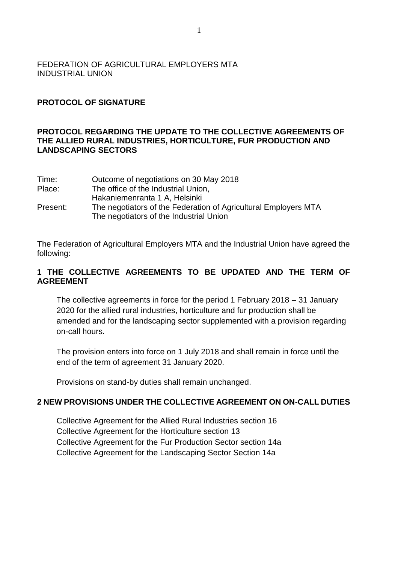## FEDERATION OF AGRICULTURAL EMPLOYERS MTA INDUSTRIAL UNION

# **PROTOCOL OF SIGNATURE**

### **PROTOCOL REGARDING THE UPDATE TO THE COLLECTIVE AGREEMENTS OF THE ALLIED RURAL INDUSTRIES, HORTICULTURE, FUR PRODUCTION AND LANDSCAPING SECTORS**

| Time:    | Outcome of negotiations on 30 May 2018                          |
|----------|-----------------------------------------------------------------|
| Place:   | The office of the Industrial Union,                             |
|          | Hakaniemenranta 1 A, Helsinki                                   |
| Present: | The negotiators of the Federation of Agricultural Employers MTA |
|          | The negotiators of the Industrial Union                         |

The Federation of Agricultural Employers MTA and the Industrial Union have agreed the following:

### **1 THE COLLECTIVE AGREEMENTS TO BE UPDATED AND THE TERM OF AGREEMENT**

The collective agreements in force for the period 1 February 2018 – 31 January 2020 for the allied rural industries, horticulture and fur production shall be amended and for the landscaping sector supplemented with a provision regarding on-call hours.

The provision enters into force on 1 July 2018 and shall remain in force until the end of the term of agreement 31 January 2020.

Provisions on stand-by duties shall remain unchanged.

#### **2 NEW PROVISIONS UNDER THE COLLECTIVE AGREEMENT ON ON-CALL DUTIES**

Collective Agreement for the Allied Rural Industries section 16 Collective Agreement for the Horticulture section 13 Collective Agreement for the Fur Production Sector section 14a Collective Agreement for the Landscaping Sector Section 14a